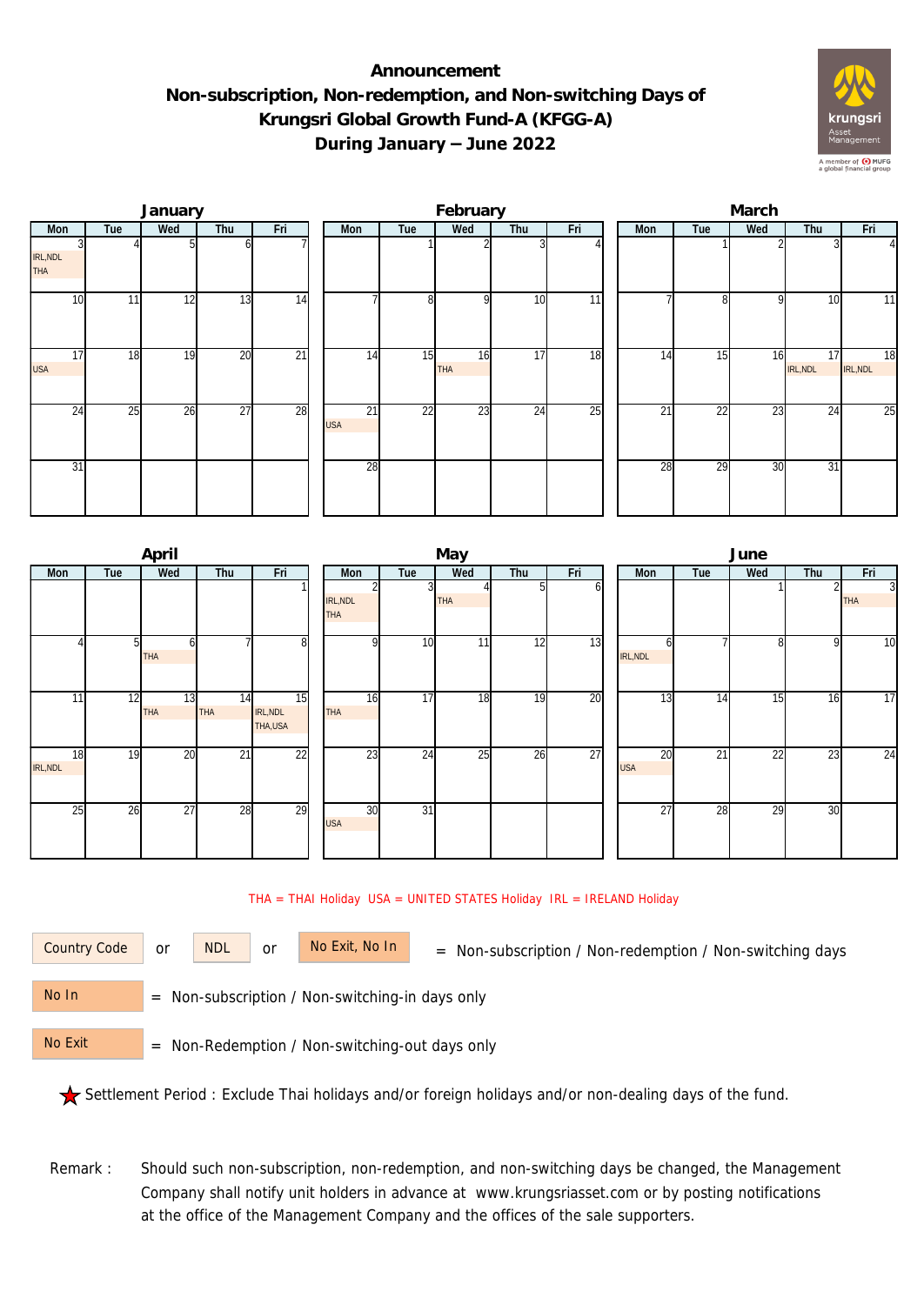## **Announcement Non-subscription, Non-redemption, and Non-switching Days of Krungsri Global Growth Fund-A (KFGG-A) During January – June 2022**



|                  |     | January |                 |                 |                  |                | February         |     |     | March |     |                 |                |                |  |  |
|------------------|-----|---------|-----------------|-----------------|------------------|----------------|------------------|-----|-----|-------|-----|-----------------|----------------|----------------|--|--|
| Mon              | Tue | Wed     | Thu             | Fri             | Mon              | Tue            | Wed              | Thu | Fri | Mon   | Tue | Wed             | Thu            | Fri            |  |  |
| IRL, NDL<br>THA  |     |         |                 |                 |                  |                |                  |     |     |       |     |                 |                | $\vert$        |  |  |
| 10               | 11  | 12      | 13              | 14              |                  | 8 <sup>l</sup> | O                | 10  | 11  |       | 8   | o               | 10             | 11             |  |  |
| 17<br><b>USA</b> | 18  | 19      | $\overline{20}$ | $\overline{21}$ | 14               | 15             | 16<br><b>THA</b> | 17  | 18  | 14    | 15  | 16              | 17<br>IRL, NDL | 18<br>IRL, NDL |  |  |
| 24               | 25  | 26      | $\overline{27}$ | 28              | 21<br><b>USA</b> | 22             | 23               | 24  | 25  | 21    | 22  | $2\overline{3}$ | 24             | 25             |  |  |
| 31               |     |         |                 |                 | 28               |                |                  |     |     | 28    | 29  | 30              | 31             |                |  |  |

|                |     | April            |                  |                            | May                    |                         |            |     |     |  |                  | June            |     |     |                              |  |  |  |
|----------------|-----|------------------|------------------|----------------------------|------------------------|-------------------------|------------|-----|-----|--|------------------|-----------------|-----|-----|------------------------------|--|--|--|
| Mon            | Tue | Wed              | Thu              | Fri                        | Mon                    | Tue                     | Wed        | Thu | Fri |  | Mon              | Tue             | Wed | Thu | Fri                          |  |  |  |
|                |     |                  |                  |                            | IRL, NDL<br><b>THA</b> | $\overline{\mathbf{3}}$ | <b>THA</b> |     | n   |  |                  |                 |     |     | $\overline{3}$<br><b>THA</b> |  |  |  |
|                |     | 61<br><b>THA</b> |                  | 8                          | $\Omega$               | 10                      | 11         | 12  | 13  |  | IRL, NDL         |                 | 8   | 9   | 10                           |  |  |  |
| 11             | 12  | 13<br><b>THA</b> | 14<br><b>THA</b> | 15<br>IRL, NDL<br>THA, USA | 16<br><b>THA</b>       | 17                      | 18         | 19  | 20  |  | 13               | 14              | 15  | 16  | 17                           |  |  |  |
| 18<br>IRL, NDL | 19  | 20               | 21               | 22                         | 23                     | 24                      | 25         | 26  | 27  |  | 20<br><b>USA</b> | $\overline{21}$ | 22  | 23  | 24                           |  |  |  |
| 25             | 26  | 27               | 28               | 29                         | 30<br><b>USA</b>       | 31                      |            |     |     |  | 27               | 28              | 29  | 30  |                              |  |  |  |

## THA = THAI Holiday USA = UNITED STATES Holiday IRL = IRELAND Holiday

or NDL or

Country Code or NDL or No Exit, No In = Non-subscription / Non-redemption / Non-switching days

 = Non-subscription / Non-switching-in days only No In

 = Non-Redemption / Non-switching-out days only No Exit

Settlement Period : Exclude Thai holidays and/or foreign holidays and/or non-dealing days of the fund.

Remark : Should such non-subscription, non-redemption, and non-switching days be changed, the Management Company shall notify unit holders in advance at www.krungsriasset.com or by posting notifications at the office of the Management Company and the offices of the sale supporters.